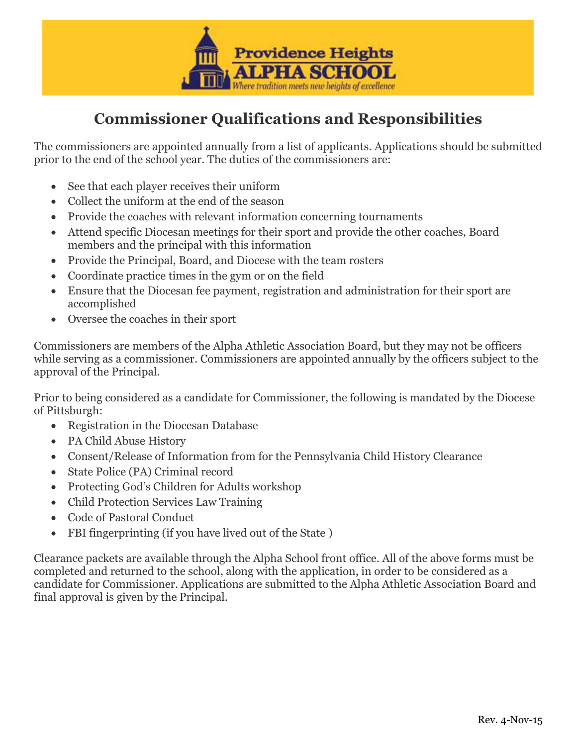

## **Commissioner Qualifications and Responsibilities**

The commissioners are appointed annually from a list of applicants. Applications should be submitted prior to the end of the school year. The duties of the commissioners are:

- See that each player receives their uniform
- Collect the uniform at the end of the season
- Provide the coaches with relevant information concerning tournaments
- Attend specific Diocesan meetings for their sport and provide the other coaches, Board members and the principal with this information
- Provide the Principal, Board, and Diocese with the team rosters
- Coordinate practice times in the gym or on the field
- Ensure that the Diocesan fee payment, registration and administration for their sport are accomplished
- Oversee the coaches in their sport

Commissioners are members of the Alpha Athletic Association Board, but they may not be officers while serving as a commissioner. Commissioners are appointed annually by the officers subject to the approval of the Principal.

Prior to being considered as a candidate for Commissioner, the following is mandated by the Diocese of Pittsburgh:

- Registration in the Diocesan Database
- PA Child Abuse History
- Consent/Release of Information from for the Pennsylvania Child History Clearance
- State Police (PA) Criminal record
- Protecting God's Children for Adults workshop
- Child Protection Services Law Training
- Code of Pastoral Conduct
- FBI fingerprinting (if you have lived out of the State )

Clearance packets are available through the Alpha School front office. All of the above forms must be completed and returned to the school, along with the application, in order to be considered as a candidate for Commissioner. Applications are submitted to the Alpha Athletic Association Board and final approval is given by the Principal.